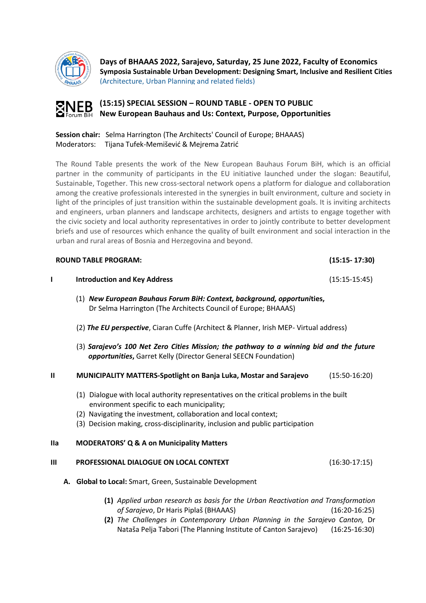

**Days of BHAAAS 2022, Sarajevo, Saturday, 25 June 2022, Faculty of Economics Symposia Sustainable Urban Development: Designing Smart, Inclusive and Resilient Cities** (Architecture, Urban Planning and related fields)



**(15:15) SPECIAL SESSION – ROUND TABLE - OPEN TO PUBLIC New European Bauhaus and Us: Context, Purpose, Opportunities**

**Session chair:** Selma Harrington (The Architects' Council of Europe; BHAAAS) Moderators: Tijana Tufek-Memišević & Mejrema Zatrić

The Round Table presents the work of the New European Bauhaus Forum BiH, which is an official partner in the community of participants in the EU initiative launched under the slogan: Beautiful, Sustainable, Together. This new cross-sectoral network opens a platform for dialogue and collaboration among the creative professionals interested in the synergies in built environment, culture and society in light of the principles of just transition within the sustainable development goals. It is inviting architects and engineers, urban planners and landscape architects, designers and artists to engage together with the civic society and local authority representatives in order to jointly contribute to better development briefs and use of resources which enhance the quality of built environment and social interaction in the urban and rural areas of Bosnia and Herzegovina and beyond.

| <b>ROUND TABLE PROGRAM:</b> |                                                                                                                                                                                                                                                                                           | $(15:15 - 17:30)$ |  |
|-----------------------------|-------------------------------------------------------------------------------------------------------------------------------------------------------------------------------------------------------------------------------------------------------------------------------------------|-------------------|--|
| L                           | <b>Introduction and Key Address</b>                                                                                                                                                                                                                                                       | $(15:15-15:45)$   |  |
|                             | (1) New European Bauhaus Forum BiH: Context, background, opportunities,<br>Dr Selma Harrington (The Architects Council of Europe; BHAAAS)                                                                                                                                                 |                   |  |
|                             | (2) The EU perspective, Ciaran Cuffe (Architect & Planner, Irish MEP- Virtual address)                                                                                                                                                                                                    |                   |  |
|                             | (3) Sarajevo's 100 Net Zero Cities Mission; the pathway to a winning bid and the future<br>opportunities, Garret Kelly (Director General SEECN Foundation)                                                                                                                                |                   |  |
| $\mathbf{u}$                | MUNICIPALITY MATTERS-Spotlight on Banja Luka, Mostar and Sarajevo                                                                                                                                                                                                                         | $(15:50-16:20)$   |  |
|                             | (1) Dialogue with local authority representatives on the critical problems in the built<br>environment specific to each municipality;<br>(2) Navigating the investment, collaboration and local context;<br>(3) Decision making, cross-disciplinarity, inclusion and public participation |                   |  |
| <b>Ila</b>                  | <b>MODERATORS' Q &amp; A on Municipality Matters</b>                                                                                                                                                                                                                                      |                   |  |
| Ш                           | PROFESSIONAL DIALOGUE ON LOCAL CONTEXT                                                                                                                                                                                                                                                    | $(16:30-17:15)$   |  |
|                             | A. Global to Local: Smart, Green, Sustainable Development                                                                                                                                                                                                                                 |                   |  |
|                             | (1) Applied urban research as basis for the Urban Reactivation and Transformation<br>of Sarajevo, Dr Haris Piplaš (BHAAAS)<br>$(16:20-16:25)$                                                                                                                                             |                   |  |

**(2)** *The Challenges in Contemporary Urban Planning in the Sarajevo Canton,* Dr Nataša Pelja Tabori (The Planning Institute of Canton Sarajevo) (16:25-16:30)